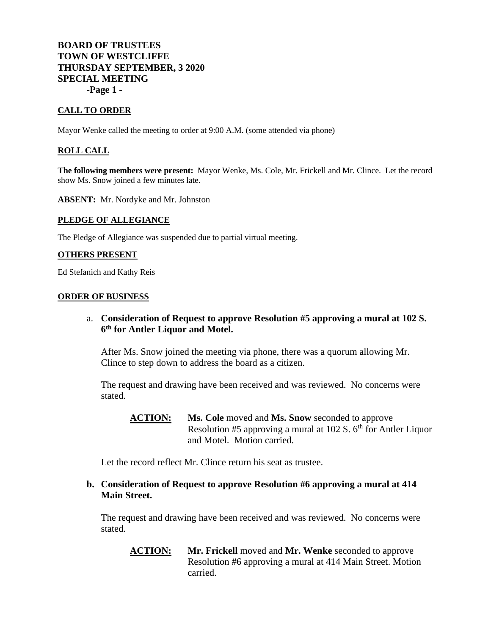# **BOARD OF TRUSTEES TOWN OF WESTCLIFFE THURSDAY SEPTEMBER, 3 2020 SPECIAL MEETING -Page 1 -**

### **CALL TO ORDER**

Mayor Wenke called the meeting to order at 9:00 A.M. (some attended via phone)

### **ROLL CALL**

**The following members were present:** Mayor Wenke, Ms. Cole, Mr. Frickell and Mr. Clince. Let the record show Ms. Snow joined a few minutes late.

**ABSENT:** Mr. Nordyke and Mr. Johnston

#### **PLEDGE OF ALLEGIANCE**

The Pledge of Allegiance was suspended due to partial virtual meeting.

#### **OTHERS PRESENT**

Ed Stefanich and Kathy Reis

#### **ORDER OF BUSINESS**

a. **Consideration of Request to approve Resolution #5 approving a mural at 102 S. 6 th for Antler Liquor and Motel.**

After Ms. Snow joined the meeting via phone, there was a quorum allowing Mr. Clince to step down to address the board as a citizen.

The request and drawing have been received and was reviewed. No concerns were stated.

**ACTION: Ms. Cole** moved and **Ms. Snow** seconded to approve Resolution #5 approving a mural at 102 S.  $6<sup>th</sup>$  for Antler Liquor and Motel. Motion carried.

Let the record reflect Mr. Clince return his seat as trustee.

## **b. Consideration of Request to approve Resolution #6 approving a mural at 414 Main Street.**

The request and drawing have been received and was reviewed. No concerns were stated.

**ACTION: Mr. Frickell** moved and **Mr. Wenke** seconded to approve Resolution #6 approving a mural at 414 Main Street. Motion carried.